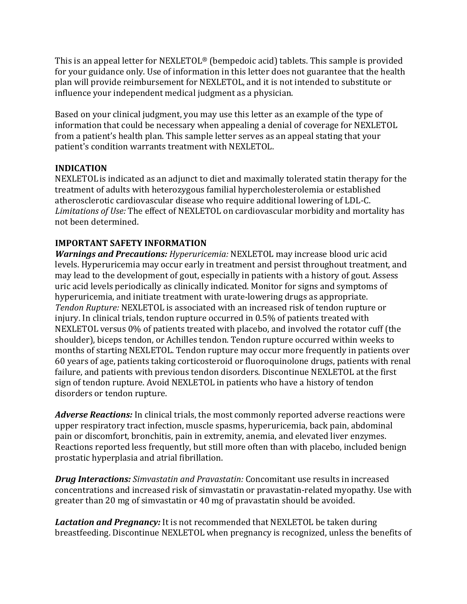This is an appeal letter for NEXLETOL<sup>®</sup> (bempedoic acid) tablets. This sample is provided for your guidance only. Use of information in this letter does not guarantee that the health plan will provide reimbursement for NEXLETOL, and it is not intended to substitute or influence your independent medical judgment as a physician.

Based on your clinical judgment, you may use this letter as an example of the type of information that could be necessary when appealing a denial of coverage for NEXLETOL from a patient's health plan. This sample letter serves as an appeal stating that your patient's condition warrants treatment with NEXLETOL.

### **INDICATION**

NEXLETOL is indicated as an adjunct to diet and maximally tolerated statin therapy for the treatment of adults with heterozygous familial hypercholesterolemia or established atherosclerotic cardiovascular disease who require additional lowering of LDL-C. Limitations of Use: The effect of NEXLETOL on cardiovascular morbidity and mortality has not been determined. 

## **IMPORTANT SAFETY INFORMATION**

*Warnings and Precautions: Hyperuricemia:* NEXLETOL may increase blood uric acid levels. Hyperuricemia may occur early in treatment and persist throughout treatment, and may lead to the development of gout, especially in patients with a history of gout. Assess uric acid levels periodically as clinically indicated. Monitor for signs and symptoms of hyperuricemia, and initiate treatment with urate-lowering drugs as appropriate. *Tendon Rupture:* NEXLETOL is associated with an increased risk of tendon rupture or injury. In clinical trials, tendon rupture occurred in 0.5% of patients treated with NEXLETOL versus 0% of patients treated with placebo, and involved the rotator cuff (the shoulder), biceps tendon, or Achilles tendon. Tendon rupture occurred within weeks to months of starting NEXLETOL. Tendon rupture may occur more frequently in patients over 60 years of age, patients taking corticosteroid or fluoroquinolone drugs, patients with renal failure, and patients with previous tendon disorders. Discontinue NEXLETOL at the first sign of tendon rupture. Avoid NEXLETOL in patients who have a history of tendon disorders or tendon rupture.

Adverse Reactions: In clinical trials, the most commonly reported adverse reactions were upper respiratory tract infection, muscle spasms, hyperuricemia, back pain, abdominal pain or discomfort, bronchitis, pain in extremity, anemia, and elevated liver enzymes. Reactions reported less frequently, but still more often than with placebo, included benign prostatic hyperplasia and atrial fibrillation.

*Drug Interactions: Simvastatin and Pravastatin: Concomitant use results in increased* concentrations and increased risk of simvastatin or pravastatin-related myopathy. Use with greater than 20 mg of simvastatin or 40 mg of pravastatin should be avoided.

Lactation and Pregnancy: It is not recommended that NEXLETOL be taken during breastfeeding. Discontinue NEXLETOL when pregnancy is recognized, unless the benefits of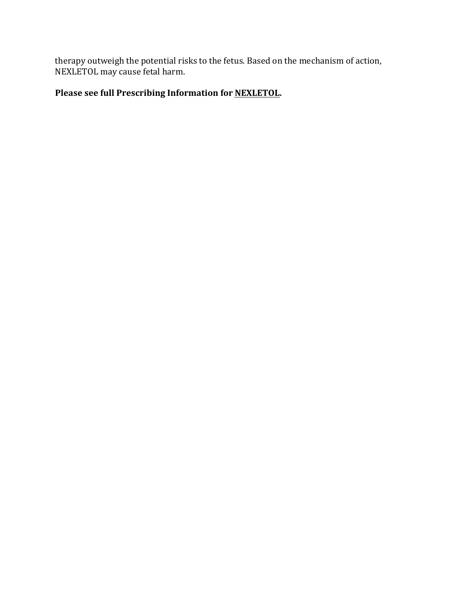therapy outweigh the potential risks to the fetus. Based on the mechanism of action, NEXLETOL may cause fetal harm.

# Please see full Prescribing Information for **NEXLETOL**.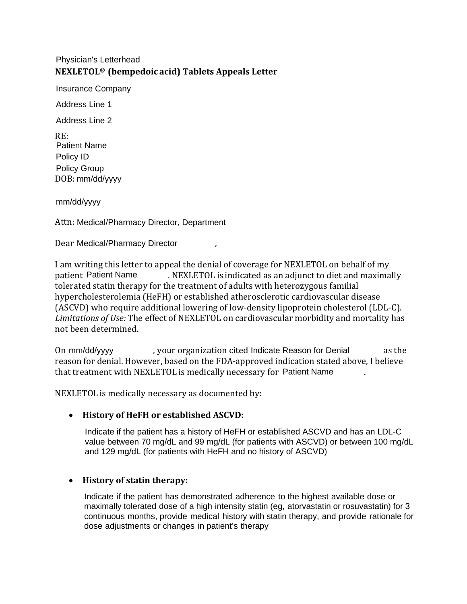#### **NEXLETOL® (bempedoic acid) Tablets Appeals Letter**  Physician's Letterhead

Insurance Company

Address Line 1

Address Line 2

RE: DOB: mm/dd/yyyy Patient Name Policy ID Policy Group

mm/dd/yyyy

Attn: Medical/Pharmacy Director, Department

Dear Medical/Pharmacy Director (a)

I am writing this letter to appeal the denial of coverage for NEXLETOL on behalf of my . NEXLETOL is indicated as an adjunct to diet and maximally tolerated statin therapy for the treatment of adults with heterozygous familial hypercholesterolemia (HeFH) or established atherosclerotic cardiovascular disease (ASCVD) who require additional lowering of low-density lipoprotein cholesterol (LDL-C). Limitations of Use: The effect of NEXLETOL on cardiovascular morbidity and mortality has not been determined. patient Patient Name

On mm/dd/yyyy and byour organization cited Indicate Reason for Denial cas the reason for denial. However, based on the FDA-approved indication stated above, I believe that treatment with NEXLETOL is medically necessary for Patient Name  $\qquad \qquad .$ 

NEXLETOL is medically necessary as documented by:

#### • **History of HeFH or established ASCVD:**

Indicate if the patient has a history of HeFH or established ASCVD and has an LDL-C value between 70 mg/dL and 99 mg/dL (for patients with ASCVD) or between 100 mg/dL and 129 mg/dL (for patients with HeFH and no history of ASCVD)

#### • **History of statin therapy:**

Indicate if the patient has demonstrated adherence to the highest available dose or maximally tolerated dose of a high intensity statin (eg, atorvastatin or rosuvastatin) for 3 continuous months, provide medical history with statin therapy, and provide rationale for dose adjustments or changes in patient's therapy